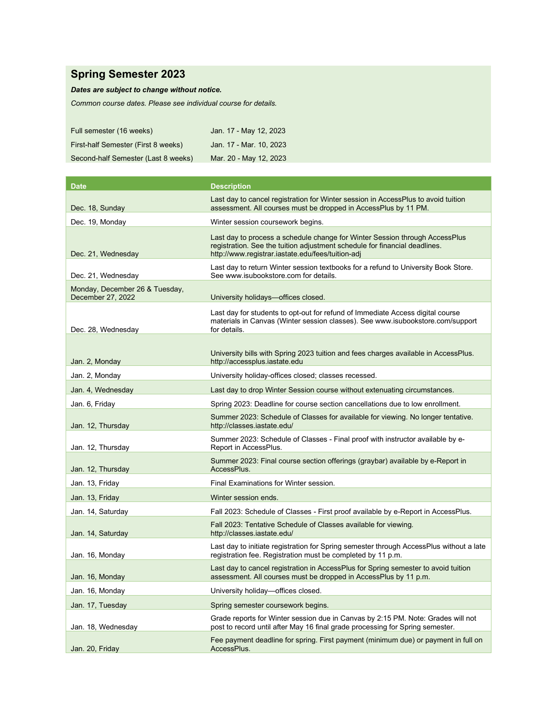## **Spring Semester 2023**

## *Dates are subject to change without notice.*

*Common course dates. Please see individual course for details.*

| Full semester (16 weeks)            | Jan. 17 - May 12, 2023  |
|-------------------------------------|-------------------------|
| First-half Semester (First 8 weeks) | Jan. 17 - Mar. 10, 2023 |
| Second-half Semester (Last 8 weeks) | Mar. 20 - May 12, 2023  |

| <b>Date</b>                                         | <b>Description</b>                                                                                                                                                                                             |
|-----------------------------------------------------|----------------------------------------------------------------------------------------------------------------------------------------------------------------------------------------------------------------|
| Dec. 18, Sunday                                     | Last day to cancel registration for Winter session in AccessPlus to avoid tuition<br>assessment. All courses must be dropped in AccessPlus by 11 PM.                                                           |
| Dec. 19, Monday                                     | Winter session coursework begins.                                                                                                                                                                              |
| Dec. 21, Wednesday                                  | Last day to process a schedule change for Winter Session through AccessPlus<br>registration. See the tuition adjustment schedule for financial deadlines.<br>http://www.registrar.iastate.edu/fees/tuition-adj |
| Dec. 21, Wednesday                                  | Last day to return Winter session textbooks for a refund to University Book Store.<br>See www.isubookstore.com for details.                                                                                    |
| Monday, December 26 & Tuesday,<br>December 27, 2022 | University holidays-offices closed.                                                                                                                                                                            |
| Dec. 28, Wednesday                                  | Last day for students to opt-out for refund of Immediate Access digital course<br>materials in Canvas (Winter session classes). See www.isubookstore.com/support<br>for details.                               |
| Jan. 2, Monday                                      | University bills with Spring 2023 tuition and fees charges available in AccessPlus.<br>http://accessplus.iastate.edu                                                                                           |
| Jan. 2, Monday                                      | University holiday-offices closed; classes recessed.                                                                                                                                                           |
| Jan. 4, Wednesday                                   | Last day to drop Winter Session course without extenuating circumstances.                                                                                                                                      |
| Jan. 6, Friday                                      | Spring 2023: Deadline for course section cancellations due to low enrollment.                                                                                                                                  |
| Jan. 12, Thursday                                   | Summer 2023: Schedule of Classes for available for viewing. No longer tentative.<br>http://classes.iastate.edu/                                                                                                |
| Jan. 12, Thursday                                   | Summer 2023: Schedule of Classes - Final proof with instructor available by e-<br>Report in AccessPlus.                                                                                                        |
| Jan. 12, Thursday                                   | Summer 2023: Final course section offerings (graybar) available by e-Report in<br>AccessPlus.                                                                                                                  |
| Jan. 13, Friday                                     | Final Examinations for Winter session.                                                                                                                                                                         |
| Jan. 13, Friday                                     | Winter session ends.                                                                                                                                                                                           |
| Jan. 14, Saturday                                   | Fall 2023: Schedule of Classes - First proof available by e-Report in AccessPlus.                                                                                                                              |
| Jan. 14, Saturday                                   | Fall 2023: Tentative Schedule of Classes available for viewing.<br>http://classes.iastate.edu/                                                                                                                 |
| Jan. 16, Monday                                     | Last day to initiate registration for Spring semester through AccessPlus without a late<br>registration fee. Registration must be completed by 11 p.m.                                                         |
| Jan. 16, Monday                                     | Last day to cancel registration in AccessPlus for Spring semester to avoid tuition<br>assessment. All courses must be dropped in AccessPlus by 11 p.m.                                                         |
| Jan. 16, Monday                                     | University holiday-offices closed.                                                                                                                                                                             |
| Jan. 17, Tuesday                                    | Spring semester coursework begins.                                                                                                                                                                             |
| Jan. 18, Wednesday                                  | Grade reports for Winter session due in Canvas by 2:15 PM. Note: Grades will not<br>post to record until after May 16 final grade processing for Spring semester.                                              |
| Jan. 20, Friday                                     | Fee payment deadline for spring. First payment (minimum due) or payment in full on<br>AccessPlus.                                                                                                              |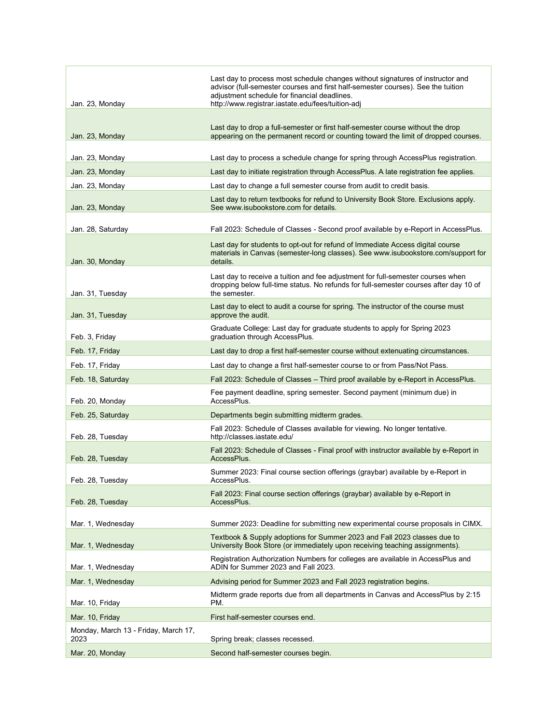| Jan. 23, Monday                              | Last day to process most schedule changes without signatures of instructor and<br>advisor (full-semester courses and first half-semester courses). See the tuition<br>adjustment schedule for financial deadlines.<br>http://www.registrar.iastate.edu/fees/tuition-adj |
|----------------------------------------------|-------------------------------------------------------------------------------------------------------------------------------------------------------------------------------------------------------------------------------------------------------------------------|
| Jan. 23, Monday                              | Last day to drop a full-semester or first half-semester course without the drop<br>appearing on the permanent record or counting toward the limit of dropped courses.                                                                                                   |
| Jan. 23, Monday                              | Last day to process a schedule change for spring through AccessPlus registration.                                                                                                                                                                                       |
|                                              | Last day to initiate registration through AccessPlus. A late registration fee applies.                                                                                                                                                                                  |
| Jan. 23, Monday                              |                                                                                                                                                                                                                                                                         |
| Jan. 23, Monday<br>Jan. 23, Monday           | Last day to change a full semester course from audit to credit basis.<br>Last day to return textbooks for refund to University Book Store. Exclusions apply.<br>See www.isubookstore.com for details.                                                                   |
| Jan. 28, Saturday                            | Fall 2023: Schedule of Classes - Second proof available by e-Report in AccessPlus.                                                                                                                                                                                      |
| Jan. 30, Monday                              | Last day for students to opt-out for refund of Immediate Access digital course<br>materials in Canvas (semester-long classes). See www.isubookstore.com/support for<br>details.                                                                                         |
| Jan. 31, Tuesday                             | Last day to receive a tuition and fee adjustment for full-semester courses when<br>dropping below full-time status. No refunds for full-semester courses after day 10 of<br>the semester.                                                                               |
| Jan. 31, Tuesday                             | Last day to elect to audit a course for spring. The instructor of the course must<br>approve the audit.                                                                                                                                                                 |
| Feb. 3, Friday                               | Graduate College: Last day for graduate students to apply for Spring 2023<br>graduation through AccessPlus.                                                                                                                                                             |
| Feb. 17, Friday                              | Last day to drop a first half-semester course without extenuating circumstances.                                                                                                                                                                                        |
| Feb. 17, Friday                              | Last day to change a first half-semester course to or from Pass/Not Pass.                                                                                                                                                                                               |
| Feb. 18, Saturday                            | Fall 2023: Schedule of Classes - Third proof available by e-Report in AccessPlus.                                                                                                                                                                                       |
| Feb. 20, Monday                              | Fee payment deadline, spring semester. Second payment (minimum due) in<br>AccessPlus.                                                                                                                                                                                   |
| Feb. 25, Saturday                            | Departments begin submitting midterm grades.                                                                                                                                                                                                                            |
| Feb. 28, Tuesday                             | Fall 2023: Schedule of Classes available for viewing. No longer tentative.<br>http://classes.iastate.edu/                                                                                                                                                               |
| Feb. 28, Tuesday                             | Fall 2023: Schedule of Classes - Final proof with instructor available by e-Report in<br>AccessPlus.                                                                                                                                                                    |
| Feb. 28, Tuesday                             | Summer 2023: Final course section offerings (graybar) available by e-Report in<br>AccessPlus.                                                                                                                                                                           |
| Feb. 28, Tuesday                             | Fall 2023: Final course section offerings (graybar) available by e-Report in<br>AccessPlus.                                                                                                                                                                             |
| Mar. 1, Wednesday                            | Summer 2023: Deadline for submitting new experimental course proposals in CIMX.                                                                                                                                                                                         |
| Mar. 1, Wednesday                            | Textbook & Supply adoptions for Summer 2023 and Fall 2023 classes due to<br>University Book Store (or immediately upon receiving teaching assignments).                                                                                                                 |
| Mar. 1, Wednesday                            | Registration Authorization Numbers for colleges are available in AccessPlus and<br>ADIN for Summer 2023 and Fall 2023.                                                                                                                                                  |
| Mar. 1, Wednesday                            | Advising period for Summer 2023 and Fall 2023 registration begins.                                                                                                                                                                                                      |
| Mar. 10, Friday                              | Midterm grade reports due from all departments in Canvas and AccessPlus by 2:15<br>PM.                                                                                                                                                                                  |
| Mar. 10, Friday                              | First half-semester courses end.                                                                                                                                                                                                                                        |
| Monday, March 13 - Friday, March 17,<br>2023 | Spring break; classes recessed.                                                                                                                                                                                                                                         |
| Mar. 20, Monday                              | Second half-semester courses begin.                                                                                                                                                                                                                                     |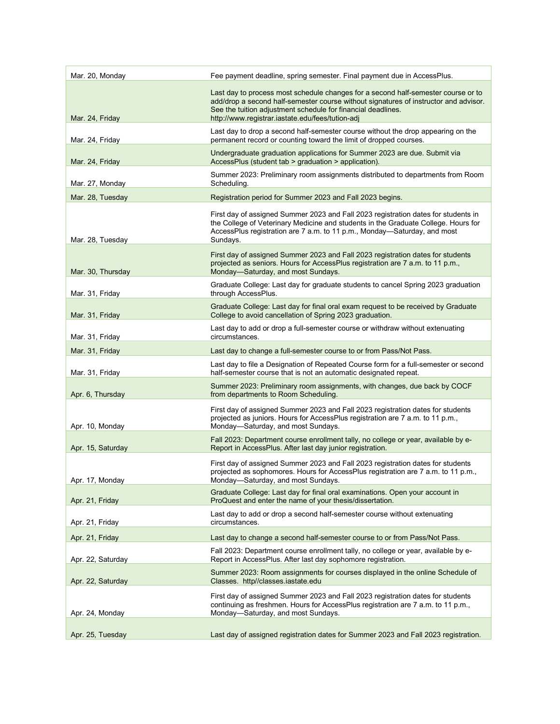| Mar. 20, Monday   | Fee payment deadline, spring semester. Final payment due in AccessPlus.                                                                                                                                                                                                                       |
|-------------------|-----------------------------------------------------------------------------------------------------------------------------------------------------------------------------------------------------------------------------------------------------------------------------------------------|
| Mar. 24, Friday   | Last day to process most schedule changes for a second half-semester course or to<br>add/drop a second half-semester course without signatures of instructor and advisor.<br>See the tuition adjustment schedule for financial deadlines.<br>http://www.registrar.iastate.edu/fees/tution-adj |
| Mar. 24, Friday   | Last day to drop a second half-semester course without the drop appearing on the<br>permanent record or counting toward the limit of dropped courses.                                                                                                                                         |
| Mar. 24, Friday   | Undergraduate graduation applications for Summer 2023 are due. Submit via<br>AccessPlus (student tab > graduation > application).                                                                                                                                                             |
| Mar. 27, Monday   | Summer 2023: Preliminary room assignments distributed to departments from Room<br>Scheduling.                                                                                                                                                                                                 |
| Mar. 28, Tuesday  | Registration period for Summer 2023 and Fall 2023 begins.                                                                                                                                                                                                                                     |
| Mar. 28, Tuesday  | First day of assigned Summer 2023 and Fall 2023 registration dates for students in<br>the College of Veterinary Medicine and students in the Graduate College. Hours for<br>AccessPlus registration are 7 a.m. to 11 p.m., Monday-Saturday, and most<br>Sundays.                              |
| Mar. 30, Thursday | First day of assigned Summer 2023 and Fall 2023 registration dates for students<br>projected as seniors. Hours for AccessPlus registration are 7 a.m. to 11 p.m.,<br>Monday-Saturday, and most Sundays.                                                                                       |
| Mar. 31, Friday   | Graduate College: Last day for graduate students to cancel Spring 2023 graduation<br>through AccessPlus.                                                                                                                                                                                      |
| Mar. 31, Friday   | Graduate College: Last day for final oral exam request to be received by Graduate<br>College to avoid cancellation of Spring 2023 graduation.                                                                                                                                                 |
| Mar. 31, Friday   | Last day to add or drop a full-semester course or withdraw without extenuating<br>circumstances.                                                                                                                                                                                              |
| Mar. 31, Friday   | Last day to change a full-semester course to or from Pass/Not Pass.                                                                                                                                                                                                                           |
| Mar. 31, Friday   | Last day to file a Designation of Repeated Course form for a full-semester or second<br>half-semester course that is not an automatic designated repeat.                                                                                                                                      |
| Apr. 6, Thursday  | Summer 2023: Preliminary room assignments, with changes, due back by COCF<br>from departments to Room Scheduling.                                                                                                                                                                             |
| Apr. 10, Monday   | First day of assigned Summer 2023 and Fall 2023 registration dates for students<br>projected as juniors. Hours for AccessPlus registration are 7 a.m. to 11 p.m.,<br>Monday-Saturday, and most Sundays.                                                                                       |
| Apr. 15, Saturday | Fall 2023: Department course enrollment tally, no college or year, available by e-<br>Report in AccessPlus. After last day junior registration.                                                                                                                                               |
| Apr. 17, Monday   | First day of assigned Summer 2023 and Fall 2023 registration dates for students<br>projected as sophomores. Hours for AccessPlus registration are 7 a.m. to 11 p.m.,<br>Monday-Saturday, and most Sundays.                                                                                    |
| Apr. 21, Friday   | Graduate College: Last day for final oral examinations. Open your account in<br>ProQuest and enter the name of your thesis/dissertation.                                                                                                                                                      |
| Apr. 21, Friday   | Last day to add or drop a second half-semester course without extenuating<br>circumstances.                                                                                                                                                                                                   |
| Apr. 21, Friday   | Last day to change a second half-semester course to or from Pass/Not Pass.                                                                                                                                                                                                                    |
| Apr. 22, Saturday | Fall 2023: Department course enrollment tally, no college or year, available by e-<br>Report in AccessPlus. After last day sophomore registration.                                                                                                                                            |
| Apr. 22, Saturday | Summer 2023: Room assignments for courses displayed in the online Schedule of<br>Classes. http//classes.iastate.edu                                                                                                                                                                           |
| Apr. 24, Monday   | First day of assigned Summer 2023 and Fall 2023 registration dates for students<br>continuing as freshmen. Hours for AccessPlus registration are 7 a.m. to 11 p.m.,<br>Monday-Saturday, and most Sundays.                                                                                     |
| Apr. 25, Tuesday  | Last day of assigned registration dates for Summer 2023 and Fall 2023 registration.                                                                                                                                                                                                           |